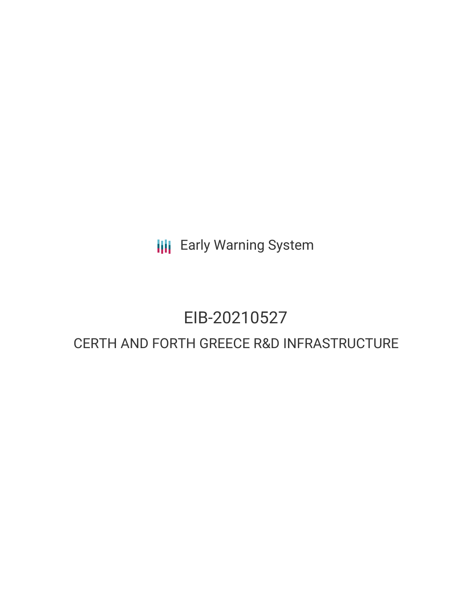**III** Early Warning System

# EIB-20210527

# CERTH AND FORTH GREECE R&D INFRASTRUCTURE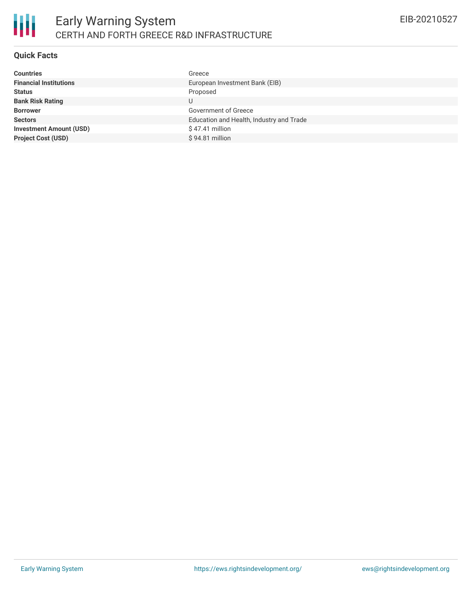# **Quick Facts**

| <b>Countries</b>               | Greece                                   |
|--------------------------------|------------------------------------------|
| <b>Financial Institutions</b>  | European Investment Bank (EIB)           |
| <b>Status</b>                  | Proposed                                 |
| <b>Bank Risk Rating</b>        |                                          |
| <b>Borrower</b>                | Government of Greece                     |
| <b>Sectors</b>                 | Education and Health, Industry and Trade |
| <b>Investment Amount (USD)</b> | $$47.41$ million                         |
| <b>Project Cost (USD)</b>      | $$94.81$ million                         |
|                                |                                          |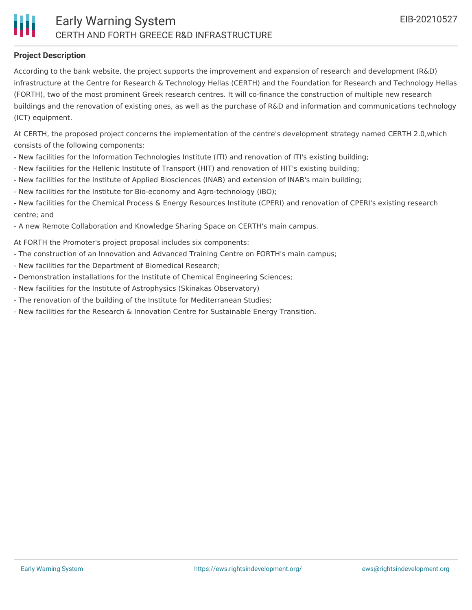# **Project Description**

According to the bank website, the project supports the improvement and expansion of research and development (R&D) infrastructure at the Centre for Research & Technology Hellas (CERTH) and the Foundation for Research and Technology Hellas (FORTH), two of the most prominent Greek research centres. It will co-finance the construction of multiple new research buildings and the renovation of existing ones, as well as the purchase of R&D and information and communications technology (ICT) equipment.

At CERTH, the proposed project concerns the implementation of the centre's development strategy named CERTH 2.0,which consists of the following components:

- New facilities for the Information Technologies Institute (ITI) and renovation of ITI's existing building;
- New facilities for the Hellenic Institute of Transport (HIT) and renovation of HIT's existing building;
- New facilities for the Institute of Applied Biosciences (INAB) and extension of INAB's main building;
- New facilities for the Institute for Bio-economy and Agro-technology (iBO);
- New facilities for the Chemical Process & Energy Resources Institute (CPERI) and renovation of CPERI's existing research centre; and
- A new Remote Collaboration and Knowledge Sharing Space on CERTH's main campus.

At FORTH the Promoter's project proposal includes six components:

- The construction of an Innovation and Advanced Training Centre on FORTH's main campus;
- New facilities for the Department of Biomedical Research;
- Demonstration installations for the Institute of Chemical Engineering Sciences;
- New facilities for the Institute of Astrophysics (Skinakas Observatory)
- The renovation of the building of the Institute for Mediterranean Studies;
- New facilities for the Research & Innovation Centre for Sustainable Energy Transition.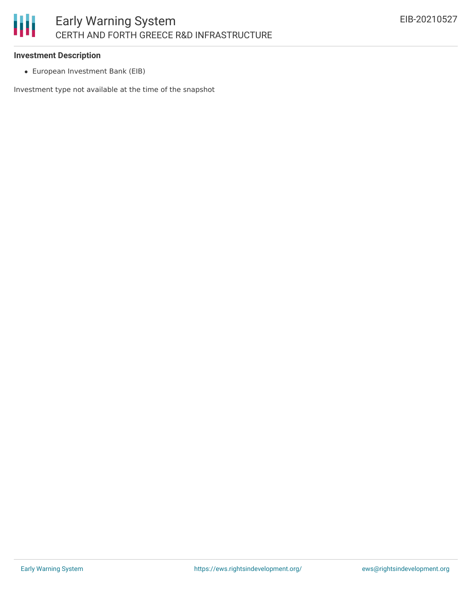#### **Investment Description**

European Investment Bank (EIB)

Investment type not available at the time of the snapshot